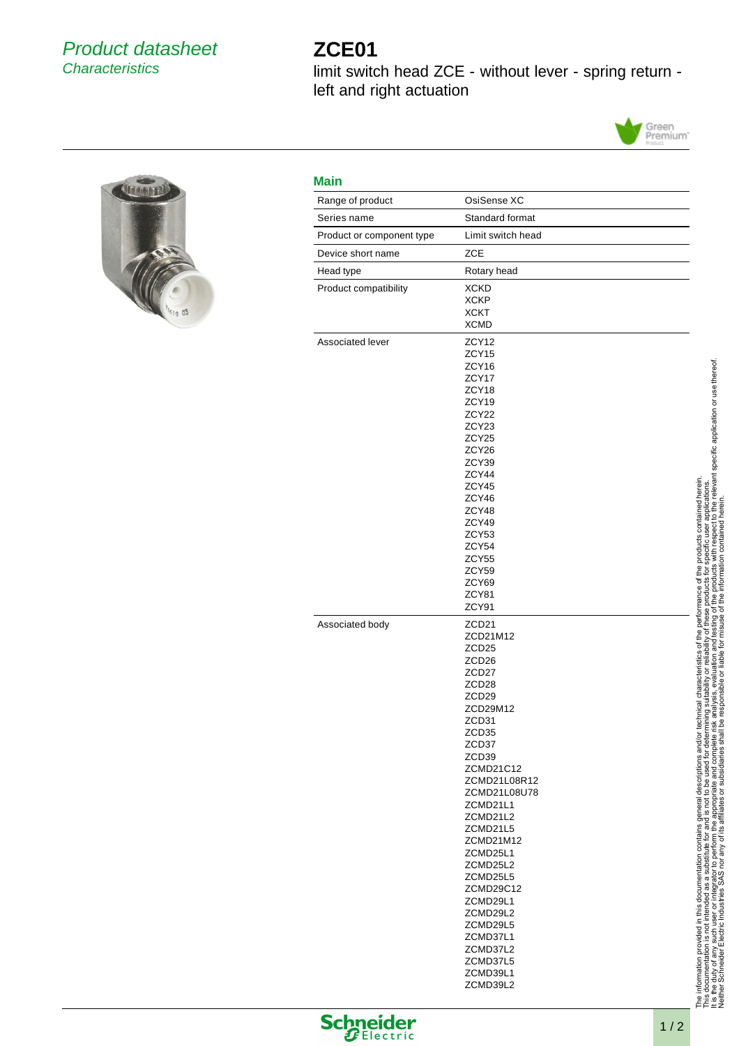## Product datasheet **Characteristics**

## **ZCE01**

limit switch head ZCE - without lever - spring return left and right actuation





| Range of product          | OsiSense XC                   |
|---------------------------|-------------------------------|
| Series name               | Standard format               |
| Product or component type | Limit switch head             |
| Device short name         | <b>ZCE</b>                    |
| Head type                 | Rotary head                   |
| Product compatibility     | <b>XCKD</b>                   |
|                           | <b>XCKP</b><br><b>XCKT</b>    |
|                           | <b>XCMD</b>                   |
| Associated lever          | ZCY <sub>12</sub>             |
|                           | ZCY <sub>15</sub>             |
|                           | ZCY16<br>ZCY17                |
|                           | ZCY18                         |
|                           | ZCY19                         |
|                           | ZCY <sub>22</sub>             |
|                           | ZCY <sub>23</sub><br>ZCY25    |
|                           | ZCY26                         |
|                           | ZCY39                         |
|                           | ZCY44<br>ZCY45                |
|                           | ZCY46                         |
|                           | ZCY48                         |
|                           | ZCY49                         |
|                           | ZCY53<br>ZCY54                |
|                           | ZCY55                         |
|                           | ZCY59                         |
|                           | ZCY69<br>ZCY81                |
|                           | ZCY91                         |
| Associated body           | ZCD <sub>21</sub>             |
|                           | ZCD21M12<br>ZCD <sub>25</sub> |
|                           | ZCD <sub>26</sub>             |
|                           | ZCD <sub>27</sub>             |
|                           | ZCD <sub>28</sub>             |
|                           | ZCD <sub>29</sub><br>ZCD29M12 |
|                           | ZCD31                         |
|                           | ZCD <sub>35</sub>             |
|                           | ZCD37                         |
|                           | ZCD39<br>ZCMD21C12            |
|                           | ZCMD21L08R12                  |
|                           | ZCMD21L08U78                  |
|                           | ZCMD21L1<br>ZCMD21L2          |
|                           | ZCMD21L5                      |
|                           | ZCMD21M12                     |
|                           | ZCMD25L1                      |
|                           | ZCMD25L2<br>ZCMD25L5          |
|                           | ZCMD29C12                     |
|                           | ZCMD29L1                      |
|                           | ZCMD29L2<br>ZCMD29L5          |
|                           | ZCMD37L1                      |
|                           | ZCMD37L2                      |
|                           | ZCMD37L5<br>ZCMD39L1          |
|                           |                               |





**Schneider**